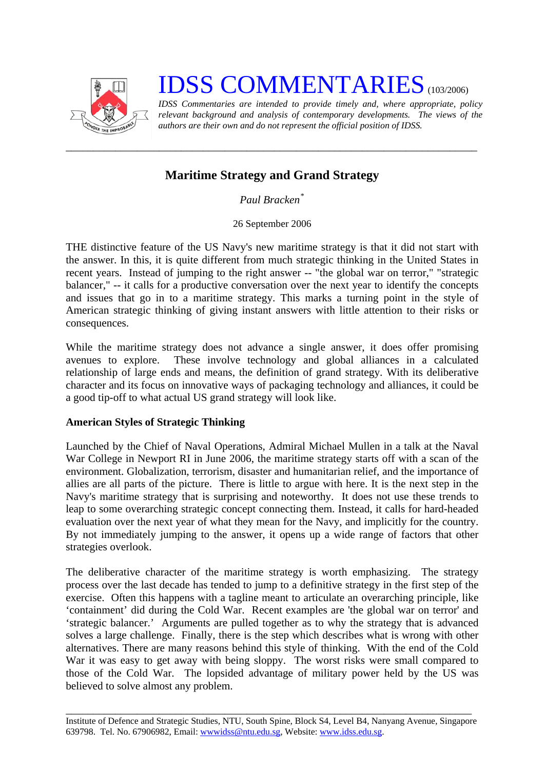

# **IDSS COMMENTARIES** (103/2006)

*IDSS Commentaries are intended to provide timely and, where appropriate, policy relevant background and analysis of contemporary developments. The views of the authors are their own and do not represent the official position of IDSS.* 

# **Maritime Strategy and Grand Strategy**

*\_\_\_\_\_\_\_\_\_\_\_\_\_\_\_\_\_\_\_\_\_\_\_\_\_\_\_\_\_\_\_\_\_\_\_\_\_\_\_\_\_\_\_\_\_\_\_\_\_\_\_\_\_\_\_\_\_\_\_\_\_\_\_\_\_\_\_\_\_\_\_\_\_\_\_* 

*Paul Bracken[\\*](#page-2-0)*

26 September 2006

THE distinctive feature of the US Navy's new maritime strategy is that it did not start with the answer. In this, it is quite different from much strategic thinking in the United States in recent years. Instead of jumping to the right answer -- "the global war on terror," "strategic balancer," -- it calls for a productive conversation over the next year to identify the concepts and issues that go in to a maritime strategy. This marks a turning point in the style of American strategic thinking of giving instant answers with little attention to their risks or consequences.

While the maritime strategy does not advance a single answer, it does offer promising avenues to explore. These involve technology and global alliances in a calculated relationship of large ends and means, the definition of grand strategy. With its deliberative character and its focus on innovative ways of packaging technology and alliances, it could be a good tip-off to what actual US grand strategy will look like.

## **American Styles of Strategic Thinking**

Launched by the Chief of Naval Operations, Admiral Michael Mullen in a talk at the Naval War College in Newport RI in June 2006, the maritime strategy starts off with a scan of the environment. Globalization, terrorism, disaster and humanitarian relief, and the importance of allies are all parts of the picture. There is little to argue with here. It is the next step in the Navy's maritime strategy that is surprising and noteworthy. It does not use these trends to leap to some overarching strategic concept connecting them. Instead, it calls for hard-headed evaluation over the next year of what they mean for the Navy, and implicitly for the country. By not immediately jumping to the answer, it opens up a wide range of factors that other strategies overlook.

The deliberative character of the maritime strategy is worth emphasizing. The strategy process over the last decade has tended to jump to a definitive strategy in the first step of the exercise. Often this happens with a tagline meant to articulate an overarching principle, like 'containment' did during the Cold War. Recent examples are 'the global war on terror' and 'strategic balancer.' Arguments are pulled together as to why the strategy that is advanced solves a large challenge. Finally, there is the step which describes what is wrong with other alternatives. There are many reasons behind this style of thinking. With the end of the Cold War it was easy to get away with being sloppy. The worst risks were small compared to those of the Cold War. The lopsided advantage of military power held by the US was believed to solve almost any problem.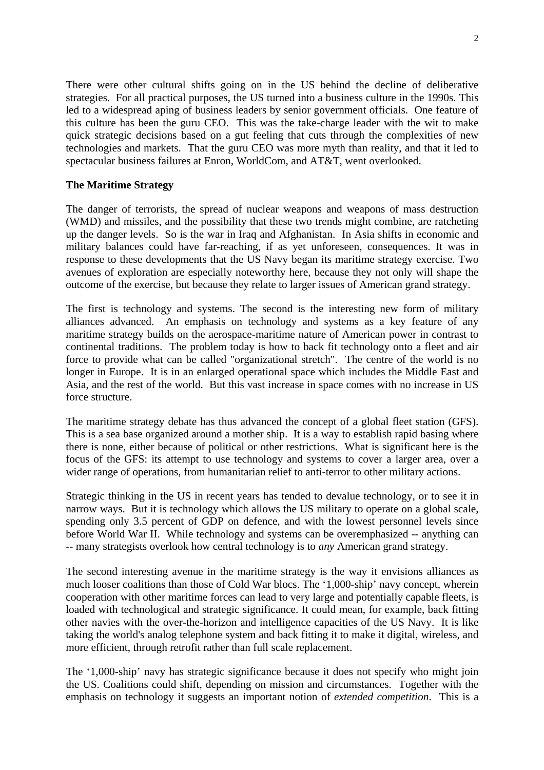There were other cultural shifts going on in the US behind the decline of deliberative strategies. For all practical purposes, the US turned into a business culture in the 1990s. This led to a widespread aping of business leaders by senior government officials. One feature of this culture has been the guru CEO. This was the take-charge leader with the wit to make quick strategic decisions based on a gut feeling that cuts through the complexities of new technologies and markets. That the guru CEO was more myth than reality, and that it led to spectacular business failures at Enron, WorldCom, and AT&T, went overlooked.

#### **The Maritime Strategy**

The danger of terrorists, the spread of nuclear weapons and weapons of mass destruction (WMD) and missiles, and the possibility that these two trends might combine, are ratcheting up the danger levels. So is the war in Iraq and Afghanistan. In Asia shifts in economic and military balances could have far-reaching, if as yet unforeseen, consequences. It was in response to these developments that the US Navy began its maritime strategy exercise. Two avenues of exploration are especially noteworthy here, because they not only will shape the outcome of the exercise, but because they relate to larger issues of American grand strategy.

The first is technology and systems. The second is the interesting new form of military alliances advanced. An emphasis on technology and systems as a key feature of any maritime strategy builds on the aerospace-maritime nature of American power in contrast to continental traditions. The problem today is how to back fit technology onto a fleet and air force to provide what can be called "organizational stretch". The centre of the world is no longer in Europe. It is in an enlarged operational space which includes the Middle East and Asia, and the rest of the world. But this vast increase in space comes with no increase in US force structure.

The maritime strategy debate has thus advanced the concept of a global fleet station (GFS). This is a sea base organized around a mother ship. It is a way to establish rapid basing where there is none, either because of political or other restrictions. What is significant here is the focus of the GFS: its attempt to use technology and systems to cover a larger area, over a wider range of operations, from humanitarian relief to anti-terror to other military actions.

Strategic thinking in the US in recent years has tended to devalue technology, or to see it in narrow ways. But it is technology which allows the US military to operate on a global scale, spending only 3.5 percent of GDP on defence, and with the lowest personnel levels since before World War II. While technology and systems can be overemphasized -- anything can -- many strategists overlook how central technology is to *any* American grand strategy.

The second interesting avenue in the maritime strategy is the way it envisions alliances as much looser coalitions than those of Cold War blocs. The '1,000-ship' navy concept, wherein cooperation with other maritime forces can lead to very large and potentially capable fleets, is loaded with technological and strategic significance. It could mean, for example, back fitting other navies with the over-the-horizon and intelligence capacities of the US Navy. It is like taking the world's analog telephone system and back fitting it to make it digital, wireless, and more efficient, through retrofit rather than full scale replacement.

The '1,000-ship' navy has strategic significance because it does not specify who might join the US. Coalitions could shift, depending on mission and circumstances. Together with the emphasis on technology it suggests an important notion of *extended competition*. This is a